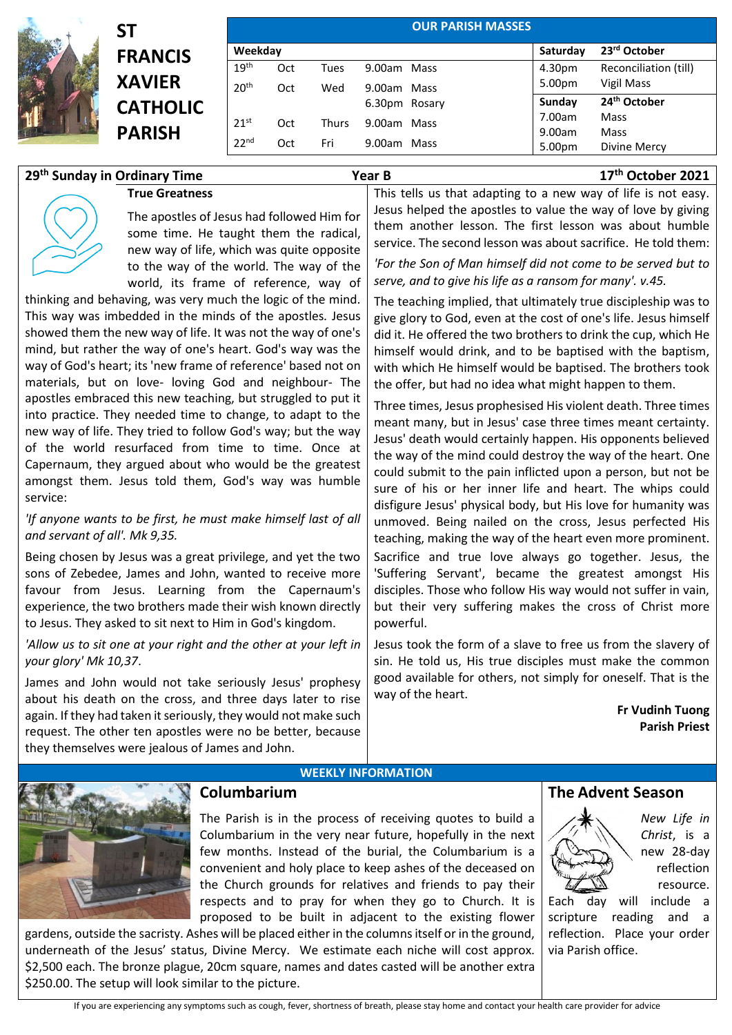

# **ST FRANCIS XAVIER CATHOLIC PARISH**

**True Greatness**

|                  |     |              |               | <b>OUR PARISH MASSES</b> |          |                          |
|------------------|-----|--------------|---------------|--------------------------|----------|--------------------------|
| Weekday          |     |              |               |                          | Saturday | 23rd October             |
| 19 <sup>th</sup> | Oct | Tues         | 9.00am Mass   |                          | 4.30pm   | Reconciliation (till)    |
| 20 <sup>th</sup> | Oct | Wed          | 9.00am Mass   |                          | 5.00pm   | Vigil Mass               |
|                  |     |              | 6.30pm Rosary |                          | Sunday   | 24 <sup>th</sup> October |
| 21 <sup>st</sup> | Oct | <b>Thurs</b> | 9.00am Mass   |                          | 7.00am   | Mass                     |
|                  |     |              |               |                          | 9.00am   | Mass                     |
| 22 <sup>nd</sup> | Oct | Fri          | 9.00am        | Mass                     | 5.00pm   | Divine Mercy             |

### **29th Sunday in Ordinary Time Year B 17th October 2021**

The apostles of Jesus had followed Him for some time. He taught them the radical, new way of life, which was quite opposite to the way of the world. The way of the world, its frame of reference, way of

thinking and behaving, was very much the logic of the mind. This way was imbedded in the minds of the apostles. Jesus showed them the new way of life. It was not the way of one's mind, but rather the way of one's heart. God's way was the way of God's heart; its 'new frame of reference' based not on materials, but on love- loving God and neighbour- The apostles embraced this new teaching, but struggled to put it into practice. They needed time to change, to adapt to the new way of life. They tried to follow God's way; but the way of the world resurfaced from time to time. Once at Capernaum, they argued about who would be the greatest amongst them. Jesus told them, God's way was humble service:

*'If anyone wants to be first, he must make himself last of all and servant of all'. Mk 9,35.* 

Being chosen by Jesus was a great privilege, and yet the two sons of Zebedee, James and John, wanted to receive more favour from Jesus. Learning from the Capernaum's experience, the two brothers made their wish known directly to Jesus. They asked to sit next to Him in God's kingdom.

*'Allow us to sit one at your right and the other at your left in your glory' Mk 10,37*.

James and John would not take seriously Jesus' prophesy about his death on the cross, and three days later to rise again. If they had taken it seriously, they would not make such request. The other ten apostles were no be better, because they themselves were jealous of James and John.

This tells us that adapting to a new way of life is not easy. Jesus helped the apostles to value the way of love by giving them another lesson. The first lesson was about humble service. The second lesson was about sacrifice. He told them:

*'For the Son of Man himself did not come to be served but to serve, and to give his life as a ransom for many'. v.45.*

The teaching implied, that ultimately true discipleship was to give glory to God, even at the cost of one's life. Jesus himself did it. He offered the two brothers to drink the cup, which He himself would drink, and to be baptised with the baptism, with which He himself would be baptised. The brothers took the offer, but had no idea what might happen to them.

Three times, Jesus prophesised His violent death. Three times meant many, but in Jesus' case three times meant certainty. Jesus' death would certainly happen. His opponents believed the way of the mind could destroy the way of the heart. One could submit to the pain inflicted upon a person, but not be sure of his or her inner life and heart. The whips could disfigure Jesus' physical body, but His love for humanity was unmoved. Being nailed on the cross, Jesus perfected His teaching, making the way of the heart even more prominent. Sacrifice and true love always go together. Jesus, the 'Suffering Servant', became the greatest amongst His disciples. Those who follow His way would not suffer in vain, but their very suffering makes the cross of Christ more powerful.

Jesus took the form of a slave to free us from the slavery of sin. He told us, His true disciples must make the common good available for others, not simply for oneself. That is the way of the heart.

> **Fr Vudinh Tuong Parish Priest**



## **Columbarium**

The Parish is in the process of receiving quotes to build a Columbarium in the very near future, hopefully in the next few months. Instead of the burial, the Columbarium is a convenient and holy place to keep ashes of the deceased on the Church grounds for relatives and friends to pay their respects and to pray for when they go to Church. It is proposed to be built in adjacent to the existing flower

**WEEKLY INFORMATION**

gardens, outside the sacristy. Ashes will be placed either in the columns itself or in the ground, underneath of the Jesus' status, Divine Mercy. We estimate each niche will cost approx. \$2,500 each. The bronze plague, 20cm square, names and dates casted will be another extra \$250.00. The setup will look similar to the picture.

#### **The Advent Season**



*New Life in Christ*, is a new 28-day reflection resource.

Each day will include a scripture reading and a reflection. Place your order via Parish office.